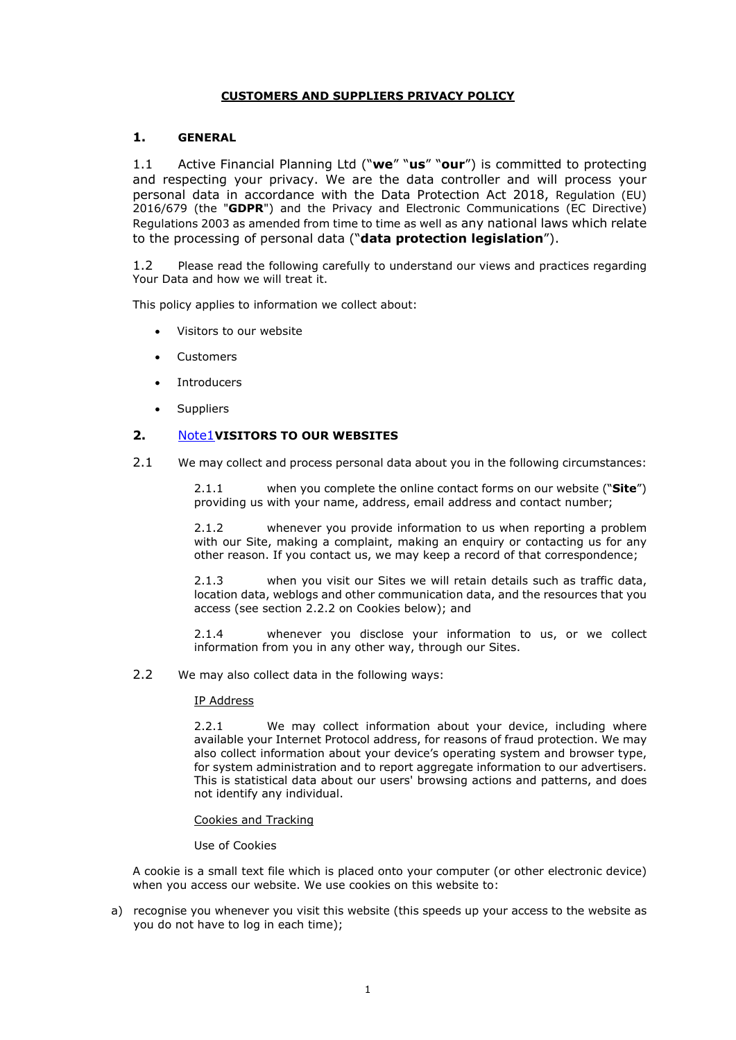#### **CUSTOMERS AND SUPPLIERS PRIVACY POLICY**

#### **1. GENERAL**

1.1 Active Financial Planning Ltd ("**we**" "**us**" "**our**") is committed to protecting and respecting your privacy. We are the data controller and will process your personal data in accordance with the Data Protection Act 2018, Regulation (EU) 2016/679 (the "**GDPR**") and the Privacy and Electronic Communications (EC Directive) Regulations 2003 as amended from time to time as well as any national laws which relate to the processing of personal data ("**data protection legislation**").

1.2 Please read the following carefully to understand our views and practices regarding Your Data and how we will treat it.

This policy applies to information we collect about:

- Visitors to our website
- **Customers**
- Introducers
- **Suppliers**

#### <span id="page-0-0"></span>**2.** [Note1](#page-0-0)**VISITORS TO OUR WEBSITES**

2.1 We may collect and process personal data about you in the following circumstances:

2.1.1 when you complete the online contact forms on our website ("**Site**") providing us with your name, address, email address and contact number;

2.1.2 whenever you provide information to us when reporting a problem with our Site, making a complaint, making an enquiry or contacting us for any other reason. If you contact us, we may keep a record of that correspondence;

2.1.3 when you visit our Sites we will retain details such as traffic data, location data, weblogs and other communication data, and the resources that you access (see section 2.2.2 on Cookies below); and

2.1.4 whenever you disclose your information to us, or we collect information from you in any other way, through our Sites.

2.2 We may also collect data in the following ways:

#### IP Address

2.2.1 We may collect information about your device, including where available your Internet Protocol address, for reasons of fraud protection. We may also collect information about your device's operating system and browser type, for system administration and to report aggregate information to our advertisers. This is statistical data about our users' browsing actions and patterns, and does not identify any individual.

#### Cookies and Tracking

#### Use of Cookies

A cookie is a small text file which is placed onto your computer (or other electronic device) when you access our website. We use cookies on this website to:

a) recognise you whenever you visit this website (this speeds up your access to the website as you do not have to log in each time);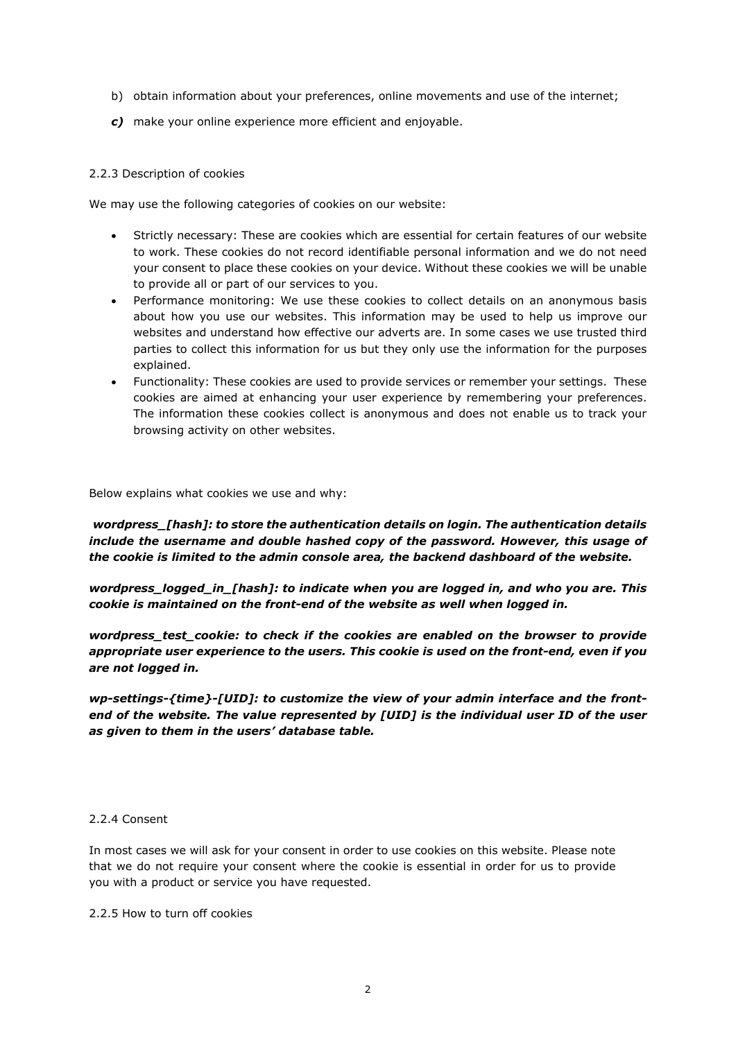- b) obtain information about your preferences, online movements and use of the internet;
- *c)* make your online experience more efficient and enjoyable.

#### 2.2.3 Description of cookies

We may use the following categories of cookies on our website:

- Strictly necessary: These are cookies which are essential for certain features of our website to work. These cookies do not record identifiable personal information and we do not need your consent to place these cookies on your device. Without these cookies we will be unable to provide all or part of our services to you.
- Performance monitoring: We use these cookies to collect details on an anonymous basis about how you use our websites. This information may be used to help us improve our websites and understand how effective our adverts are. In some cases we use trusted third parties to collect this information for us but they only use the information for the purposes explained.
- Functionality: These cookies are used to provide services or remember your settings. These cookies are aimed at enhancing your user experience by remembering your preferences. The information these cookies collect is anonymous and does not enable us to track your browsing activity on other websites.

Below explains what cookies we use and why:

*wordpress\_[hash]: to store the authentication details on login. The authentication details include the username and double hashed copy of the password. However, this usage of the cookie is limited to the admin console area, the backend dashboard of the website.* 

*wordpress\_logged\_in\_[hash]: to indicate when you are logged in, and who you are. This cookie is maintained on the front-end of the website as well when logged in.*

*wordpress\_test\_cookie: to check if the cookies are enabled on the browser to provide appropriate user experience to the users. This cookie is used on the front-end, even if you are not logged in.*

*wp-settings-{time}-[UID]: to customize the view of your admin interface and the frontend of the website. The value represented by [UID] is the individual user ID of the user as given to them in the users' database table.*

#### 2.2.4 Consent

In most cases we will ask for your consent in order to use cookies on this website. Please note that we do not require your consent where the cookie is essential in order for us to provide you with a product or service you have requested.

2.2.5 How to turn off cookies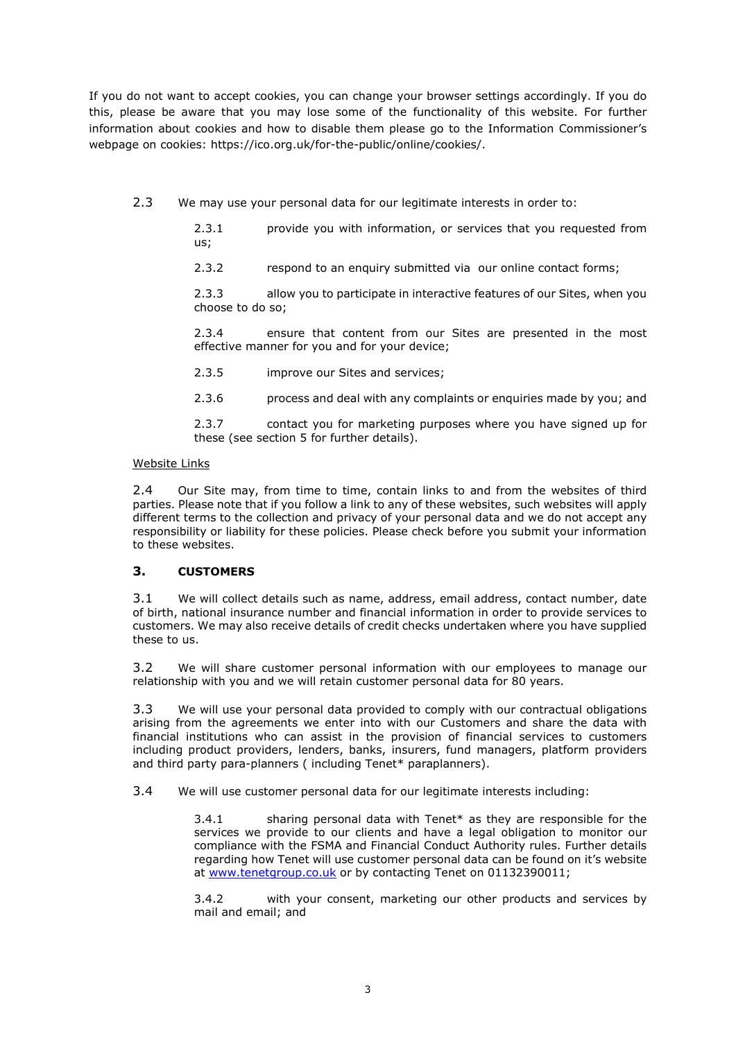If you do not want to accept cookies, you can change your browser settings accordingly. If you do this, please be aware that you may lose some of the functionality of this website. For further information about cookies and how to disable them please go to the Information Commissioner's webpage on cookies: [https://ico.org.uk/for-the-public/online/cookies/.](https://ico.org.uk/for-the-public/online/cookies/)

2.3 We may use your personal data for our legitimate interests in order to:

2.3.1 provide you with information, or services that you requested from us;

2.3.2 respond to an enquiry submitted via our online contact forms;

2.3.3 allow you to participate in interactive features of our Sites, when you choose to do so;

2.3.4 ensure that content from our Sites are presented in the most effective manner for you and for your device;

2.3.5 improve our Sites and services;

2.3.6 process and deal with any complaints or enquiries made by you; and

2.3.7 contact you for marketing purposes where you have signed up for these (see section 5 for further details).

#### Website Links

2.4 Our Site may, from time to time, contain links to and from the websites of third parties. Please note that if you follow a link to any of these websites, such websites will apply different terms to the collection and privacy of your personal data and we do not accept any responsibility or liability for these policies. Please check before you submit your information to these websites.

## **3. CUSTOMERS**

3.1 We will collect details such as name, address, email address, contact number, date of birth, national insurance number and financial information in order to provide services to customers. We may also receive details of credit checks undertaken where you have supplied these to us.

3.2 We will share customer personal information with our employees to manage our relationship with you and we will retain customer personal data for 80 years.

3.3 We will use your personal data provided to comply with our contractual obligations arising from the agreements we enter into with our Customers and share the data with financial institutions who can assist in the provision of financial services to customers including product providers, lenders, banks, insurers, fund managers, platform providers and third party para-planners ( including Tenet\* paraplanners).

3.4 We will use customer personal data for our legitimate interests including:

3.4.1 sharing personal data with Tenet\* as they are responsible for the services we provide to our clients and have a legal obligation to monitor our compliance with the FSMA and Financial Conduct Authority rules. Further details regarding how Tenet will use customer personal data can be found on it's website at [www.tenetgroup.co.uk](http://www.tenetgroup.co.uk/) or by contacting Tenet on 01132390011;

3.4.2 with your consent, marketing our other products and services by mail and email; and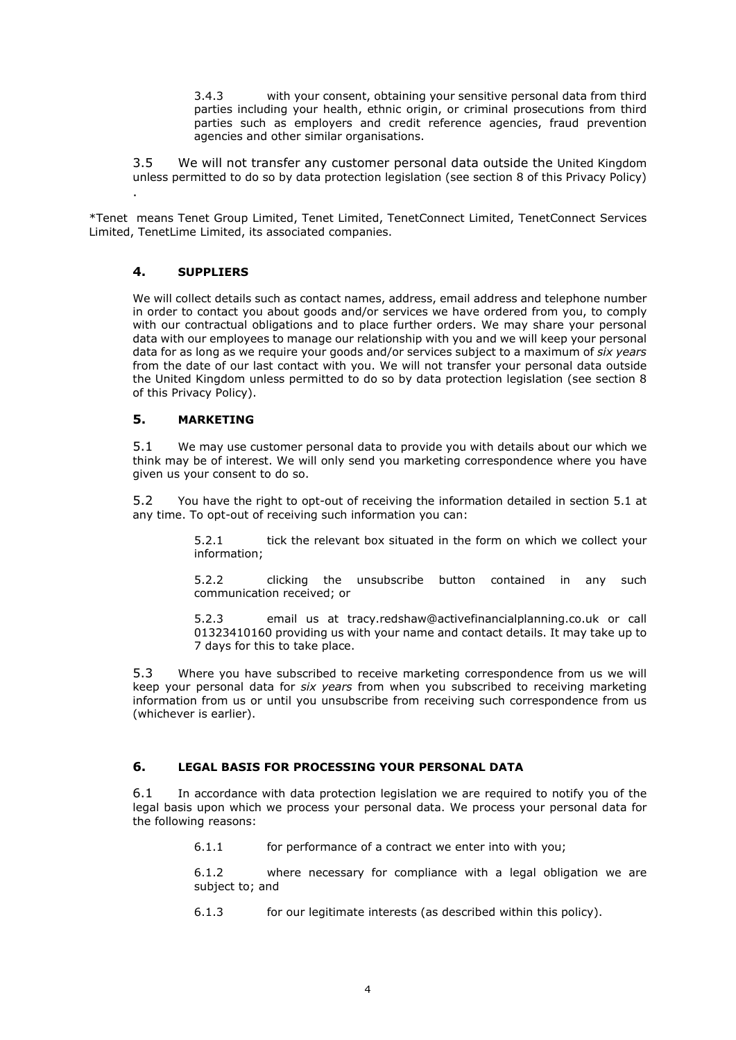3.4.3 with your consent, obtaining your sensitive personal data from third parties including your health, ethnic origin, or criminal prosecutions from third parties such as employers and credit reference agencies, fraud prevention agencies and other similar organisations.

3.5 We will not transfer any customer personal data outside the United Kingdom unless permitted to do so by data protection legislation (see section 8 of this Privacy Policy)

\*Tenet means Tenet Group Limited, Tenet Limited, TenetConnect Limited, TenetConnect Services Limited, TenetLime Limited, its associated companies.

## **4. SUPPLIERS**

.

We will collect details such as contact names, address, email address and telephone number in order to contact you about goods and/or services we have ordered from you, to comply with our contractual obligations and to place further orders. We may share your personal data with our employees to manage our relationship with you and we will keep your personal data for as long as we require your goods and/or services subject to a maximum of *six years* from the date of our last contact with you. We will not transfer your personal data outside the United Kingdom unless permitted to do so by data protection legislation (see section 8 of this Privacy Policy).

## **5. MARKETING**

5.1 We may use customer personal data to provide you with details about our which we think may be of interest. We will only send you marketing correspondence where you have given us your consent to do so.

5.2 You have the right to opt-out of receiving the information detailed in section 5.1 at any time. To opt-out of receiving such information you can:

> 5.2.1 tick the relevant box situated in the form on which we collect your information;

> 5.2.2 clicking the unsubscribe button contained in any such communication received; or

> 5.2.3 email us at tracy.redshaw@activefinancialplanning.co.uk or call 01323410160 providing us with your name and contact details. It may take up to 7 days for this to take place.

5.3 Where you have subscribed to receive marketing correspondence from us we will keep your personal data for *six years* from when you subscribed to receiving marketing information from us or until you unsubscribe from receiving such correspondence from us (whichever is earlier).

## **6. LEGAL BASIS FOR PROCESSING YOUR PERSONAL DATA**

6.1 In accordance with data protection legislation we are required to notify you of the legal basis upon which we process your personal data. We process your personal data for the following reasons:

6.1.1 for performance of a contract we enter into with you;

6.1.2 where necessary for compliance with a legal obligation we are subject to; and

6.1.3 for our legitimate interests (as described within this policy).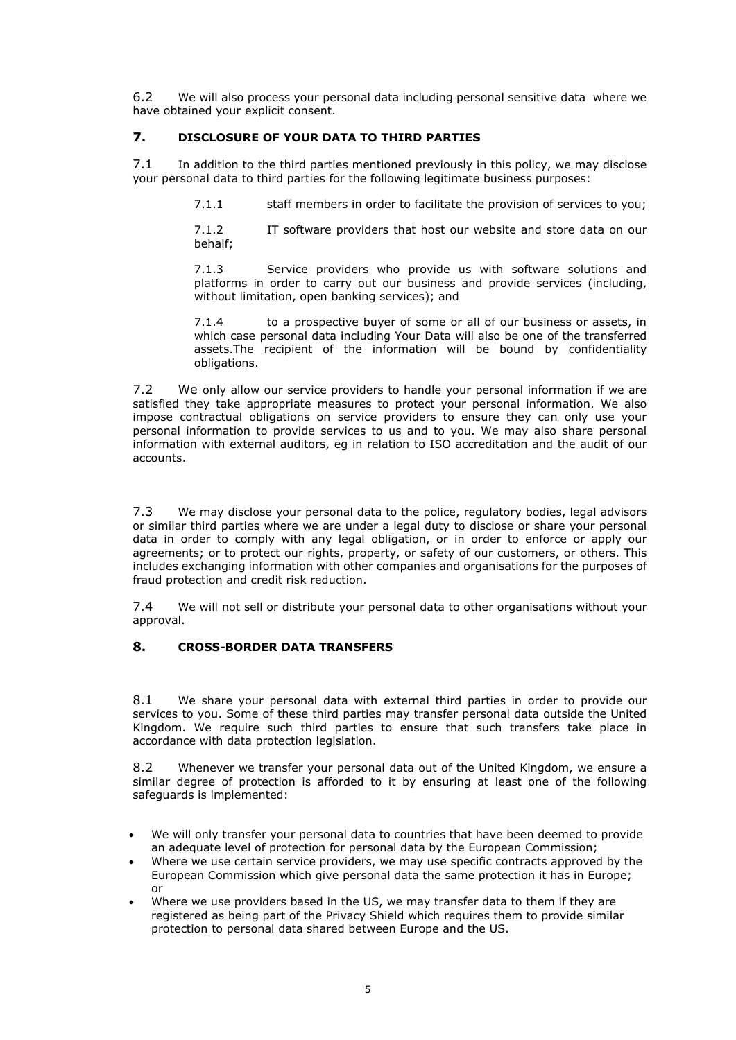6.2 We will also process your personal data including personal sensitive data where we have obtained your explicit consent.

# **7. DISCLOSURE OF YOUR DATA TO THIRD PARTIES**

7.1 In addition to the third parties mentioned previously in this policy, we may disclose your personal data to third parties for the following legitimate business purposes:

7.1.1 staff members in order to facilitate the provision of services to you;

7.1.2 IT software providers that host our website and store data on our behalf;

7.1.3 Service providers who provide us with software solutions and platforms in order to carry out our business and provide services (including, without limitation, open banking services); and

7.1.4 to a prospective buyer of some or all of our business or assets, in which case personal data including Your Data will also be one of the transferred assets.The recipient of the information will be bound by confidentiality obligations.

7.2 We only allow our service providers to handle your personal information if we are satisfied they take appropriate measures to protect your personal information. We also impose contractual obligations on service providers to ensure they can only use your personal information to provide services to us and to you. We may also share personal information with external auditors, eg in relation to ISO accreditation and the audit of our accounts.

7.3 We may disclose your personal data to the police, regulatory bodies, legal advisors or similar third parties where we are under a legal duty to disclose or share your personal data in order to comply with any legal obligation, or in order to enforce or apply our agreements; or to protect our rights, property, or safety of our customers, or others. This includes exchanging information with other companies and organisations for the purposes of fraud protection and credit risk reduction.

7.4 We will not sell or distribute your personal data to other organisations without your approval.

## **8. CROSS-BORDER DATA TRANSFERS**

8.1 We share your personal data with external third parties in order to provide our services to you. Some of these third parties may transfer personal data outside the United Kingdom. We require such third parties to ensure that such transfers take place in accordance with data protection legislation.

8.2 Whenever we transfer your personal data out of the United Kingdom, we ensure a similar degree of protection is afforded to it by ensuring at least one of the following safeguards is implemented:

- We will only transfer your personal data to countries that have been deemed to provide an adequate level of protection for personal data by the European Commission;
- Where we use certain service providers, we may use specific contracts approved by the European Commission which give personal data the same protection it has in Europe; or
- Where we use providers based in the US, we may transfer data to them if they are registered as being part of the Privacy Shield which requires them to provide similar protection to personal data shared between Europe and the US.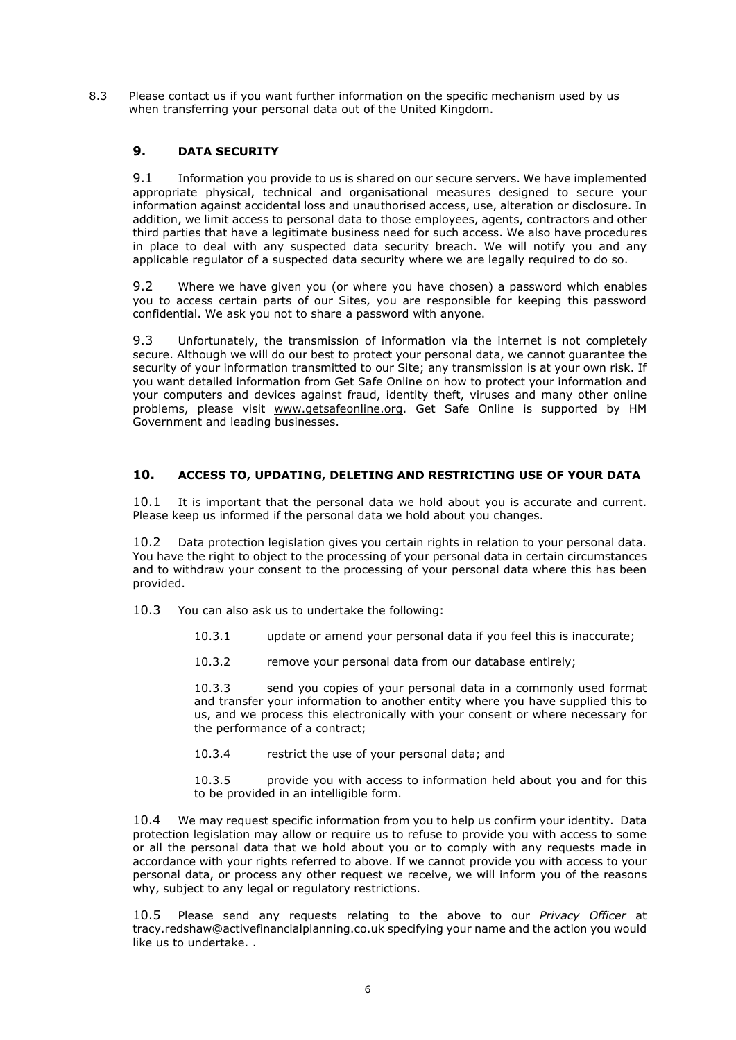8.3 Please contact us if you want further information on the specific mechanism used by us when transferring your personal data out of the United Kingdom.

# **9. DATA SECURITY**

9.1 Information you provide to us is shared on our secure servers. We have implemented appropriate physical, technical and organisational measures designed to secure your information against accidental loss and unauthorised access, use, alteration or disclosure. In addition, we limit access to personal data to those employees, agents, contractors and other third parties that have a legitimate business need for such access. We also have procedures in place to deal with any suspected data security breach. We will notify you and any applicable regulator of a suspected data security where we are legally required to do so.

9.2 Where we have given you (or where you have chosen) a password which enables you to access certain parts of our Sites, you are responsible for keeping this password confidential. We ask you not to share a password with anyone.

9.3 Unfortunately, the transmission of information via the internet is not completely secure. Although we will do our best to protect your personal data, we cannot guarantee the security of your information transmitted to our Site; any transmission is at your own risk. If you want detailed information from Get Safe Online on how to protect your information and your computers and devices against fraud, identity theft, viruses and many other online problems, please visit www.getsafeonline.org. Get Safe Online is supported by HM Government and leading businesses.

## **10. ACCESS TO, UPDATING, DELETING AND RESTRICTING USE OF YOUR DATA**

10.1 It is important that the personal data we hold about you is accurate and current. Please keep us informed if the personal data we hold about you changes.

10.2 Data protection legislation gives you certain rights in relation to your personal data. You have the right to object to the processing of your personal data in certain circumstances and to withdraw your consent to the processing of your personal data where this has been provided.

10.3 You can also ask us to undertake the following:

- 10.3.1 update or amend your personal data if you feel this is inaccurate;
- 10.3.2 remove your personal data from our database entirely;

10.3.3 send you copies of your personal data in a commonly used format and transfer your information to another entity where you have supplied this to us, and we process this electronically with your consent or where necessary for the performance of a contract;

10.3.4 restrict the use of your personal data; and

10.3.5 provide you with access to information held about you and for this to be provided in an intelligible form.

10.4 We may request specific information from you to help us confirm your identity. Data protection legislation may allow or require us to refuse to provide you with access to some or all the personal data that we hold about you or to comply with any requests made in accordance with your rights referred to above. If we cannot provide you with access to your personal data, or process any other request we receive, we will inform you of the reasons why, subject to any legal or regulatory restrictions.

10.5 Please send any requests relating to the above to our *Privacy Officer* at tracy.redshaw@activefinancialplanning.co.uk specifying your name and the action you would like us to undertake. .